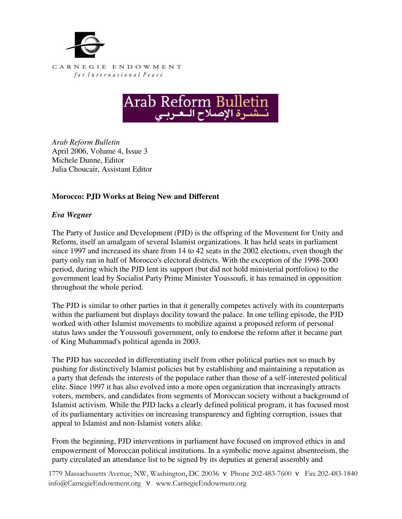



*Arab Reform Bulletin*  April 2006, Volume 4, Issue 3 Michele Dunne, Editor Julia Choucair, Assistant Editor

## **Morocco: PJD Works at Being New and Different**

## *Eva Wegner*

The Party of Justice and Development (PJD) is the offspring of the Movement for Unity and Reform, itself an amalgam of several Islamist organizations. It has held seats in parliament since 1997 and increased its share from 14 to 42 seats in the 2002 elections, even though the party only ran in half of Morocco's electoral districts. With the exception of the 1998-2000 period, during which the PJD lent its support (but did not hold ministerial portfolios) to the government lead by Socialist Party Prime Minister Youssoufi, it has remained in opposition throughout the whole period.

The PJD is similar to other parties in that it generally competes actively with its counterparts within the parliament but displays docility toward the palace. In one telling episode, the PJD worked with other Islamist movements to mobilize against a proposed reform of personal status laws under the Youssoufi government, only to endorse the reform after it became part of King Muhammad's political agenda in 2003.

The PJD has succeeded in differentiating itself from other political parties not so much by pushing for distinctively Islamist policies but by establishing and maintaining a reputation as a party that defends the interests of the populace rather than those of a self-interested political elite. Since 1997 it has also evolved into a more open organization that increasingly attracts voters, members, and candidates from segments of Moroccan society without a background of Islamist activism. While the PJD lacks a clearly defined political program, it has focused most of its parliamentary activities on increasing transparency and fighting corruption, issues that appeal to Islamist and non-Islamist voters alike.

From the beginning, PJD interventions in parliament have focused on improved ethics in and empowerment of Moroccan political institutions. In a symbolic move against absenteeism, the party circulated an attendance list to be signed by its deputies at general assembly and

1779 Massachusetts Avenue, NW, Washington, DC 20036 ν Phone 202-483-7600 ν Fax 202-483-1840 info@CarnegieEndowment.org ν www.CarnegieEndowment.org